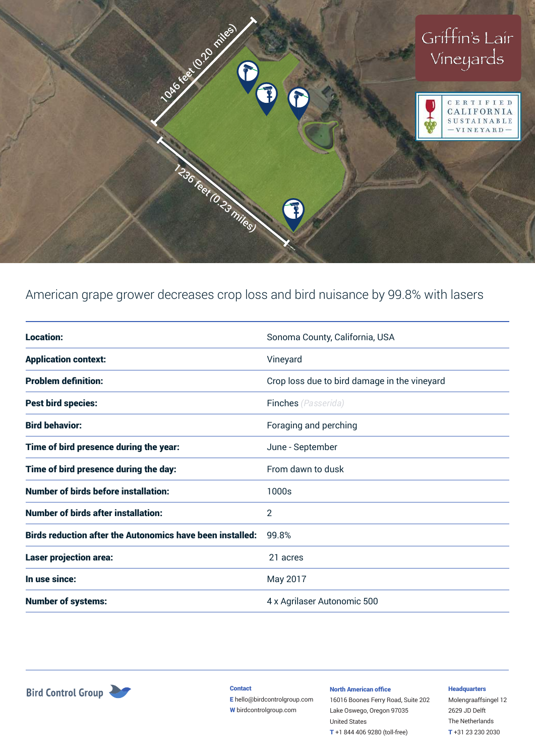

# American grape grower decreases crop loss and bird nuisance by 99.8% with lasers

| <b>Location:</b>                                                 | Sonoma County, California, USA               |
|------------------------------------------------------------------|----------------------------------------------|
| <b>Application context:</b>                                      | Vineyard                                     |
| <b>Problem definition:</b>                                       | Crop loss due to bird damage in the vineyard |
| <b>Pest bird species:</b>                                        | <b>Finches</b> (Passerida)                   |
| <b>Bird behavior:</b>                                            | Foraging and perching                        |
| Time of bird presence during the year:                           | June - September                             |
| Time of bird presence during the day:                            | From dawn to dusk                            |
| <b>Number of birds before installation:</b>                      | 1000s                                        |
| <b>Number of birds after installation:</b>                       | 2                                            |
| <b>Birds reduction after the Autonomics have been installed:</b> | 99.8%                                        |
| <b>Laser projection area:</b>                                    | 21 acres                                     |
| In use since:                                                    | May 2017                                     |
| <b>Number of systems:</b>                                        | 4 x Agrilaser Autonomic 500                  |



**Contact** 

E hello@birdcontrolgroup.com W birdcontrolgroup.com

#### North American office

16016 Boones Ferry Road, Suite 202 Lake Oswego, Oregon 97035 United States T +1 844 406 9280 (toll-free)

### **Headquarters**

Molengraaffsingel 12 2629 JD Delft The Netherlands T +31 23 230 2030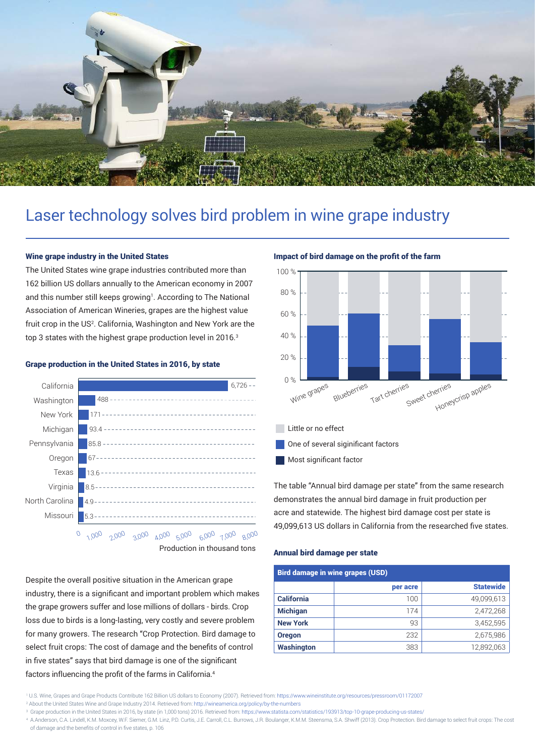

# Laser technology solves bird problem in wine grape industry

## Wine grape industry in the United States

The United States wine grape industries contributed more than 162 billion US dollars annually to the American economy in 2007 and this number still keeps growing<sup>1</sup>. According to The National Association of American Wineries, grapes are the highest value fruit crop in the US<sup>2</sup>. California, Washington and New York are the top 3 states with the highest grape production level in 2016.<sup>3</sup>



### Grape production in the United States in 2016, by state

Despite the overall positive situation in the American grape industry, there is a significant and important problem which makes the grape growers suffer and lose millions of dollars - birds. Crop loss due to birds is a long-lasting, very costly and severe problem for many growers. The research "Crop Protection. Bird damage to select fruit crops: The cost of damage and the benefits of control in five states" says that bird damage is one of the significant factors influencing the profit of the farms in California.<sup>4</sup>

# Impact of bird damage on the profit of the farm



The table "Annual bird damage per state" from the same research demonstrates the annual bird damage in fruit production per acre and statewide. The highest bird damage cost per state is 49,099,613 US dollars in California from the researched five states.

### Annual bird damage per state

| <b>Bird damage in wine grapes (USD)</b> |          |                  |  |
|-----------------------------------------|----------|------------------|--|
|                                         | per acre | <b>Statewide</b> |  |
| <b>California</b>                       | 100      | 49,099,613       |  |
| <b>Michigan</b>                         | 174      | 2,472,268        |  |
| <b>New York</b>                         | 93       | 3,452,595        |  |
| <b>Oregon</b>                           | 232      | 2,675,986        |  |
| <b>Washington</b>                       | 383      | 12,892,063       |  |

<sup>1</sup> U.S. Wine, Grapes and Grape Products Contribute 162 Billion US dollars to Economy (2007). Retrieved from: https://www.wineinstitute.org/resources/pressroom/01172007 <sup>2</sup> About the United States Wine and Grape Industry 2014. Retrieved from: http://wineamerica.org/policy/by-the-numbers

<sup>&</sup>lt;sup>3</sup> Grape production in the United States in 2016, by state (in 1,000 tons) 2016. Retrieved from: https://www.statista.com/statistics/193913/top-10-grape-producing-us-states/

<sup>4</sup> A.Anderson, C.A. Lindell, K.M. Moxcey, W.F. Siemer, G.M. Linz, P.D. Curtis, J.E. Carroll, C.L. Burrows, J.R. Boulanger, K.M.M. Steensma, S.A. Shwiff (2013). Crop Protection. Bird damage to select fruit crops: The cost of damage and the benefits of control in five states, p. 106